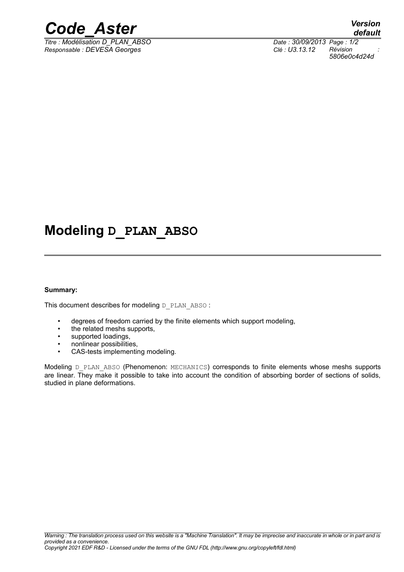

*Titre : Modélisation D\_PLAN\_ABSO Date : 30/09/2013 Page : 1/2 Responsable : DEVESA Georges Clé : U3.13.12 Révision :*

# **Modeling D\_PLAN\_ABSO**

#### **Summary:**

This document describes for modeling D\_PLAN\_ABSO :

- degrees of freedom carried by the finite elements which support modeling,
- the related meshs supports,
- supported loadings,
- nonlinear possibilities,
- CAS-tests implementing modeling.

Modeling D\_PLAN\_ABSO (Phenomenon: MECHANICS) corresponds to finite elements whose meshs supports are linear. They make it possible to take into account the condition of absorbing border of sections of solids, studied in plane deformations.